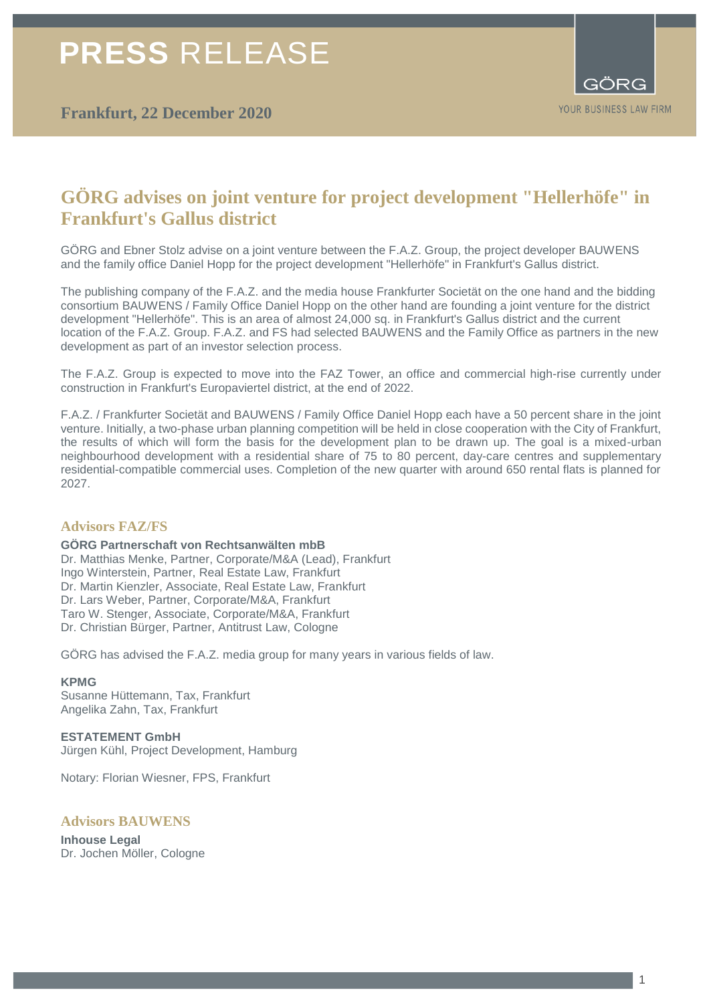**Frankfurt, 22 December 2020**



# **GÖRG advises on joint venture for project development "Hellerhöfe" in Frankfurt's Gallus district**

GÖRG and Ebner Stolz advise on a joint venture between the F.A.Z. Group, the project developer BAUWENS and the family office Daniel Hopp for the project development "Hellerhöfe" in Frankfurt's Gallus district.

The publishing company of the F.A.Z. and the media house Frankfurter Societät on the one hand and the bidding consortium BAUWENS / Family Office Daniel Hopp on the other hand are founding a joint venture for the district development "Hellerhöfe". This is an area of almost 24,000 sq. in Frankfurt's Gallus district and the current location of the F.A.Z. Group. F.A.Z. and FS had selected BAUWENS and the Family Office as partners in the new development as part of an investor selection process.

The F.A.Z. Group is expected to move into the FAZ Tower, an office and commercial high-rise currently under construction in Frankfurt's Europaviertel district, at the end of 2022.

F.A.Z. / Frankfurter Societät and BAUWENS / Family Office Daniel Hopp each have a 50 percent share in the joint venture. Initially, a two-phase urban planning competition will be held in close cooperation with the City of Frankfurt, the results of which will form the basis for the development plan to be drawn up. The goal is a mixed-urban neighbourhood development with a residential share of 75 to 80 percent, day-care centres and supplementary residential-compatible commercial uses. Completion of the new quarter with around 650 rental flats is planned for 2027.

### **Advisors FAZ/FS**

**GÖRG Partnerschaft von Rechtsanwälten mbB**  Dr. Matthias Menke, Partner, Corporate/M&A (Lead), Frankfurt Ingo Winterstein, Partner, Real Estate Law, Frankfurt Dr. Martin Kienzler, Associate, Real Estate Law, Frankfurt Dr. Lars Weber, Partner, Corporate/M&A, Frankfurt Taro W. Stenger, Associate, Corporate/M&A, Frankfurt Dr. Christian Bürger, Partner, Antitrust Law, Cologne

GÖRG has advised the F.A.Z. media group for many years in various fields of law.

#### **KPMG**

Susanne Hüttemann, Tax, Frankfurt Angelika Zahn, Tax, Frankfurt

**ESTATEMENT GmbH**  Jürgen Kühl, Project Development, Hamburg

Notary: Florian Wiesner, FPS, Frankfurt

### **Advisors BAUWENS**

**Inhouse Legal** Dr. Jochen Möller, Cologne